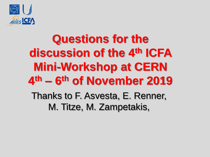

# **Questions for the discussion of the 4th ICFA Mini-Workshop at CERN 4 th – 6 th of November 2019** Thanks to F. Asvesta, E. Renner,

M. Titze, M. Zampetakis,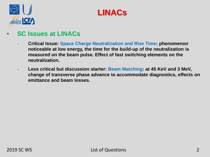



#### • **SC Issues at LINACs**

- **Critical Issue: Space Charge Neutralization and Rise Time: phenomenon noticeable at low energy, the time for the build-up of the neutralization is measured on the beam pulse. Effect of fast switching elements on the neutralization.**
- **Less critical but discussion starter: Beam Matching: at 45 KeV and 3 MeV, change of transverse phase advance to accommodate diagnostics, effects on emittance and beam losses.**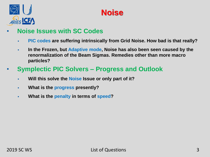



- **Noise Issues with SC Codes**
	- **PIC codes are suffering intrinsically from Grid Noise. How bad is that really?**
	- **In the Frozen, but Adaptive mode, Noise has also been seen caused by the renormalization of the Beam Sigmas. Remedies other than more macro particles?**
- **Symplectic PIC Solvers – Progress and Outlook**
	- **Will this solve the Noise Issue or only part of it?**
	- **What is the progress presently?**
	- **What is the penalty in terms of speed?**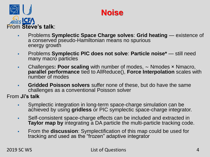



- Problems **Symplectic Space Charge solves**: **Grid heating**  existence of a conserved pseudo-Hamiltonian means no spurious energy growth
- Problems **Symplectic PIC does not solve**: **Particle noise\***  still need many macro particles
- Challenges**: Poor scaling** with number of modes, ∼ Nmodes × Nmacro, **parallel performance** tied to AllReduce(), **Force Interpolation** scales with number of modes
- **Gridded Poisson solvers** suffer none of these, but do have the same challenges as a conventional Poisson solver

From **Ji's talk** 

- Symplectic integration in long-term space-charge simulation can be achieved by using **gridless** or PIC symplectic space-charge integrator.
- Self-consistent space-charge effects can be included and extracted in **Taylor map by** integrating a DA particle the multi-particle tracking code.
- From the **discussion**: Symplectification of this map could be used for tracking and used as the "frozen" adaptive integrator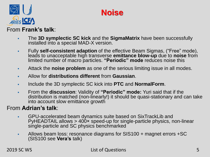



#### From **Frank's talk**:

- The **3D symplectic SC kick** and the **SigmaMatrix** have been successfully installed into a special MAD-X version.
- Fully **self-consistent adaption** of the effective Beam Sigmas, ("Free" mode), leads to unacceptable high transverse **emittance blow-up** due to **noise** from limited number of macro particles. **"Periodic" mode** reduces noise this
- Attack the **noise problem** as one of the serious limiting issue in all modes.
- Allow for **distributions different** from **Gaussian**.
- Include the 3D symplectic SC kick into **PTC** and **NormalForm**.
- From the **discussion**: Validity of **"Periodic" mode:** Yuri said that if the distribution is matched (non-linearly!) it should be quasi-stationary and can take into account slow emittance growth

#### From **Adrian's talk**:

- GPU-accelerated beam dynamics suite based on SixTrackLib and PyHEADTAIL allows > 400× speed-up for single-particle physics, non-linear single-particle and SC physics benchmarked
- Allows beam loss: resonance diagrams for SIS100 + magnet errors +SC (SIS100 see **Vera's** talk)

2019 SC WS List of Questions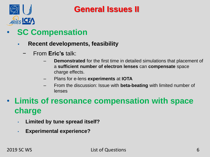

- **SC Compensation**
	- **Recent developments, feasibility**
		- − From **Eric's** talk:
			- **Demonstrated** for the first time in detailed simulations that placement of a **sufficient number of electron lenses** can **compensate** space charge effects.
			- Plans for e-lens **experiments** at **IOTA**
			- From the discussion: Issue with **beta-beating** with limited number of lenses
- **Limits of resonance compensation with space charge**
	- **Limited by tune spread itself?**
	- **Experimental experience?**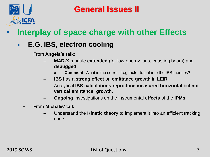

# • **Interplay of space charge with other Effects**

### **E.G. IBS, electron cooling**

- − From **Angela's talk:**
	- **MAD-X** module **extended** (for low-energy ions, coasting beam) and **debugged**
		- » **Comment**: What is the correct Log factor to put into the IBS theories?
	- **IBS** has a **strong effect** on **emittance growth** in **LEIR**
	- Analytical **IBS calculations reproduce measured horizontal** but **not vertical emittance growth.**
	- **Ongoing** investigations on the instrumental **effects** of the **IPMs**
- − From **Michalis' talk**:
	- Understand the **Kinetic theory** to implement it into an efficient tracking code.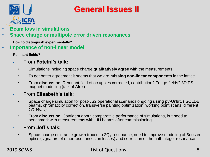

- **Beam loss in simulations**
- **Space charge or multipole error driven resonances**

**How to distinguish experimentally?**

• **Importance of non-linear model**

**Remnant fields?**

- From **Foteini's talk:**
	- Simulations including space charge **qualitatively agree** with the measurements,
	- To get better agreement it seems that we are **missing non-linear components** in the lattice
	- From **discussion**: Remnant field of octupoles corrected, contribution? Fringe-fields? 3D PS magnet modelling (talk of **Alex**)
- From **Elisabeth's talk:**
	- Space charge simulation for post-LS2 operational scenarios ongoing **using py-Orbit. (**ISOLDE beams, chromaticity correction, transverse painting optimization, working point scans, different cycles,…)
	- From **discussion**: Confident about comparative performance of simulations, but need to benchmark with measurements with LIU beams after commissioning.
- From **Jeff's talk:**
	- Space-charge emittance growth traced to 2Qy resonance, need to improve modeling of Booster optics (signature of other resonances on losses) and correction of the half-integer resonance

#### 2019 SC WS List of Questions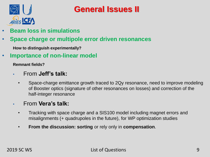

- **Beam loss in simulations**
- **Space charge or multipole error driven resonances**

**How to distinguish experimentally?**

• **Importance of non-linear model**

**Remnant fields?**

- From **Jeff's talk:**
	- Space-charge emittance growth traced to 2Qy resonance, need to improve modeling of Booster optics (signature of other resonances on losses) and correction of the half-integer resonance
- From **Vera's talk:**
	- Tracking with space charge and a SIS100 model including magnet errors and misalignments (+ quadrupoles in the future), for WP optimization studies
	- **From the discussion: sorting** or rely only in **compensation**.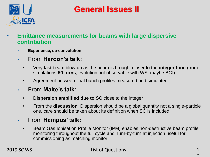

- **Emittance measurements for beams with large dispersive contribution**
	- **Experience, de-convolution**
	- From **Haroon's talk:**
		- Very fast beam blow-up as the beam is brought closer to the **integer tune** (from simulations **50 turns**, evolution not observable with WS, maybe BGI)
		- Agreement between final bunch profiles measured and simulated
	- From **Malte's talk:**
		- **Dispersion amplified due to SC** close to the integer
		- From the **discussion**: Dispersion should be a global quantity not a single-particle one, care should be taken about its definition when SC is included
	- From **Hampus' talk:**
		- Beam Gas Ionisation Profile Monitor (IPM) enables non-destructive beam profile monitoring throughout the full cycle and Turn-by-turn at injection useful for commissioning as matching monitor

2019 SC WS List of Questions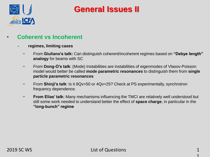

#### • **Coherent vs Incoherent**

- **regimes, limiting cases**
	- − From **Giuliano's talk:** Can distinguish coherent/incoherent regimes based on **"Debye length" analogy** for beams with SC
	- − From **Dong-O's talk**: (Mode) Instabilities are instabilities of eigenmodes of Vlasov-Poisson model would better be called **mode parametric resonances** to distinguish them from **single particle parametric resonances**
	- − From **Shinji's talk**: Is it 8Qv=50 or 4Qv=25? Check at PS experimentally, synchrotron frequency dependence.
	- − **From Elias' talk:** Many mechanisms influencing the TMCI are relatively well understood but still some work needed to understand better the effect of **space charge**, in particular in the **"long-bunch" regime**

1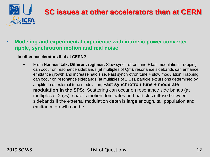

# **SC issues at other accelerators than at CERN**

#### • **Modeling and experimental experience with intrinsic power converter ripple, synchrotron motion and real noise**

#### **In other accelerators that at CERN?**

− From **Hannes' talk: Different regimes:** Slow synchrotron tune + fast modulation: Trapping can occur on resonance sidebands (at multiples of Qm), resonance sidebands can enhance emittance growth and increase halo size, Fast synchrotron tune + slow modulation:Trapping can occur on resonance sidebands (at multiples of 2 Qs), particle excursions determined by amplitude of external tune modulation, **Fast synchrotron tune + moderate modulation in the SPS:** Scattering can occur on resonance side bands (at multiples of 2 *Qs*), chaotic motion dominates and particles diffuse between sidebands if the external modulation depth is large enough, tail population and emittance growth can be